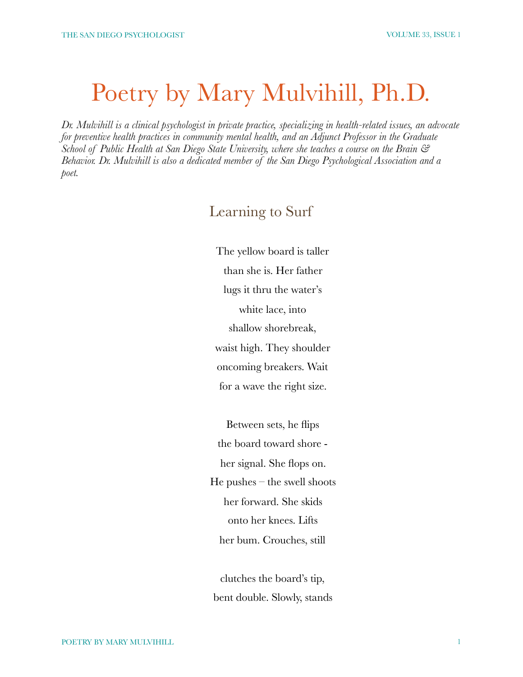## Poetry by Mary Mulvihill, Ph.D.

*Dr. Mulvihill is a clinical psychologist in private practice, specializing in health-related issues, an advocate for preventive health practices in community mental health, and an Adjunct Professor in the Graduate School of Public Health at San Diego State University, where she teaches a course on the Brain & Behavior. Dr. Mulvihill is also a dedicated member of the San Diego Psychological Association and a poet.* 

## Learning to Surf

The yellow board is taller than she is. Her father lugs it thru the water's white lace, into shallow shorebreak, waist high. They shoulder oncoming breakers. Wait for a wave the right size.

Between sets, he flips the board toward shore her signal. She flops on.  $He$  pushes – the swell shoots her forward. She skids onto her knees. Lifts her bum. Crouches, still

clutches the board's tip, bent double. Slowly, stands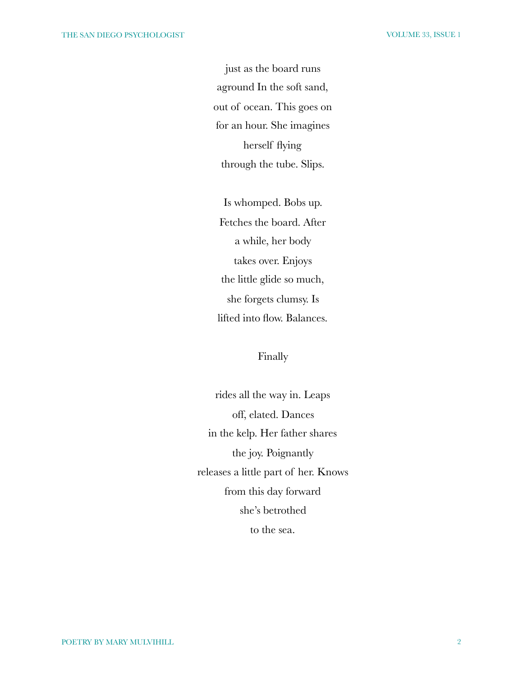just as the board runs aground In the soft sand, out of ocean. This goes on for an hour. She imagines herself flying through the tube. Slips.

Is whomped. Bobs up. Fetches the board. After a while, her body takes over. Enjoys the little glide so much, she forgets clumsy. Is lifted into flow. Balances.

Finally

rides all the way in. Leaps off, elated. Dances in the kelp. Her father shares the joy. Poignantly releases a little part of her. Knows from this day forward she's betrothed to the sea.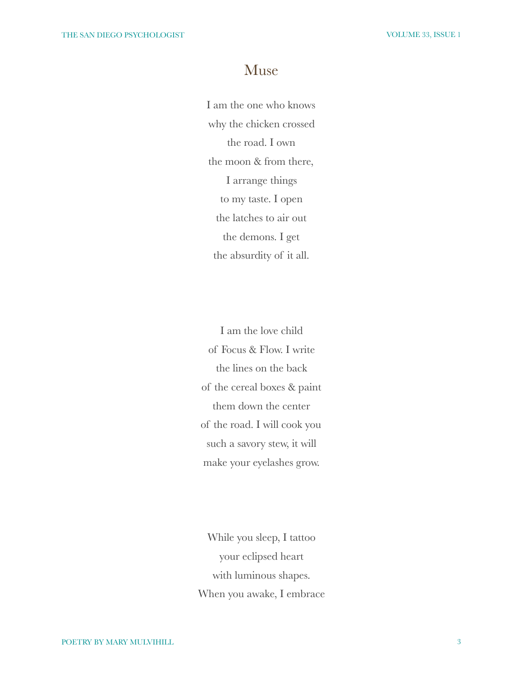## Muse

I am the one who knows why the chicken crossed the road. I own the moon & from there, I arrange things to my taste. I open the latches to air out the demons. I get the absurdity of it all.

I am the love child of Focus & Flow. I write the lines on the back of the cereal boxes & paint them down the center of the road. I will cook you such a savory stew, it will make your eyelashes grow.

While you sleep, I tattoo your eclipsed heart with luminous shapes. When you awake, I embrace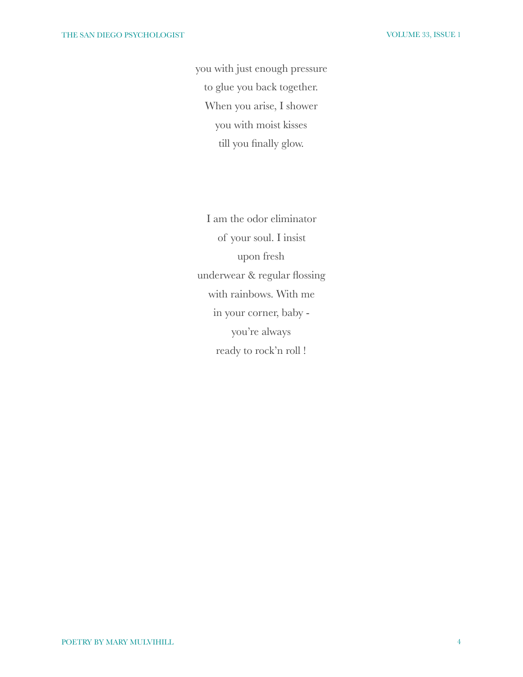you with just enough pressure to glue you back together. When you arise, I shower you with moist kisses till you finally glow.

I am the odor eliminator of your soul. I insist upon fresh underwear & regular flossing with rainbows. With me in your corner, baby you're always ready to rock'n roll !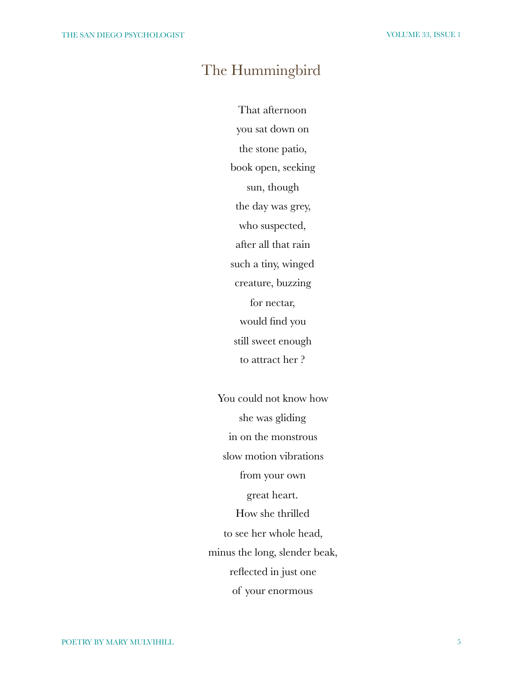## The Hummingbird

That afternoon you sat down on the stone patio, book open, seeking sun, though the day was grey, who suspected, after all that rain such a tiny, winged creature, buzzing for nectar, would find you still sweet enough to attract her ?

You could not know how she was gliding in on the monstrous slow motion vibrations from your own great heart. How she thrilled to see her whole head, minus the long, slender beak, reflected in just one of your enormous